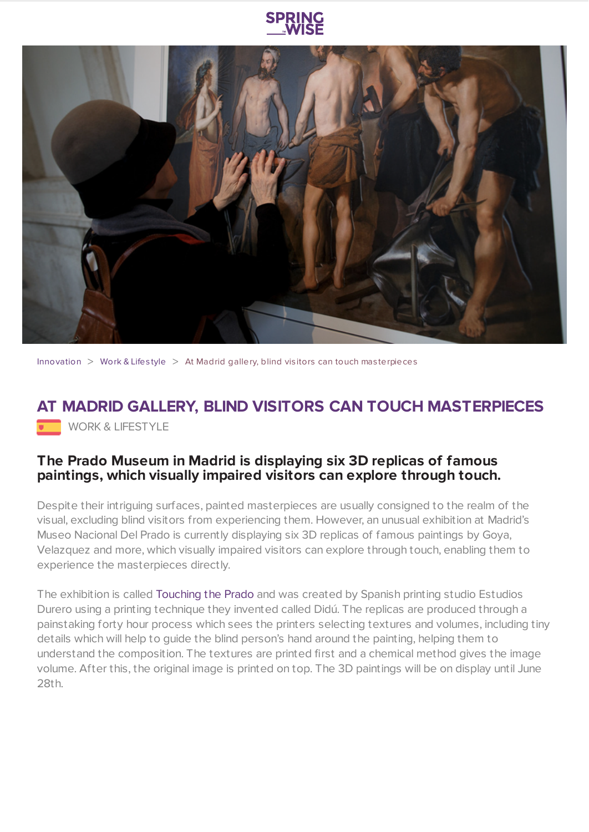



[Innovation](https://www.springwise.com/search?type=innovation)  $>$  [Work](https://www.springwise.com/search?type=innovation§or=work-lifestyle) & Lifestyle  $>$  At Madrid gallery, blind visitors can touch masterpieces

## **AT MADRID GALLERY, BLIND VISITORS CAN TOUCH MASTERPIECES** WORK & LIFESTYLE

## **The Prado Museum in Madrid is displaying six 3D replicas of famous paintings, which visually impaired visitors can explore through touch.**

Despite their intriguing surfaces, painted masterpieces are usually consigned to the realm of the visual, excluding blind visitors from experiencing them. However, an unusual exhibition at Madrid's Museo Nacional Del Prado is currently displaying six 3D replicas of famous paintings by Goya, Velazquez and more, which visually impaired visitors can explore through touch, enabling them to experience the masterpieces directly.

The exhibition is called [Touching](http://www.estudiosdurero.com/estudios_durero/opencms/Noticias/01_2015_Didu_en_el_Prado.html?idioma=en) the Prado and was created by Spanish printing studio Estudios Durero using a printing technique they invented called Didú. The replicas are produced through a painstaking forty hour process which sees the printers selecting textures and volumes, including tiny details which will help to guide the blind person's hand around the painting, helping them to understand the composition. The textures are printed first and a chemical method gives the image volume. After this, the original image is printed on top. The 3D paintings will be on display until June 28th.